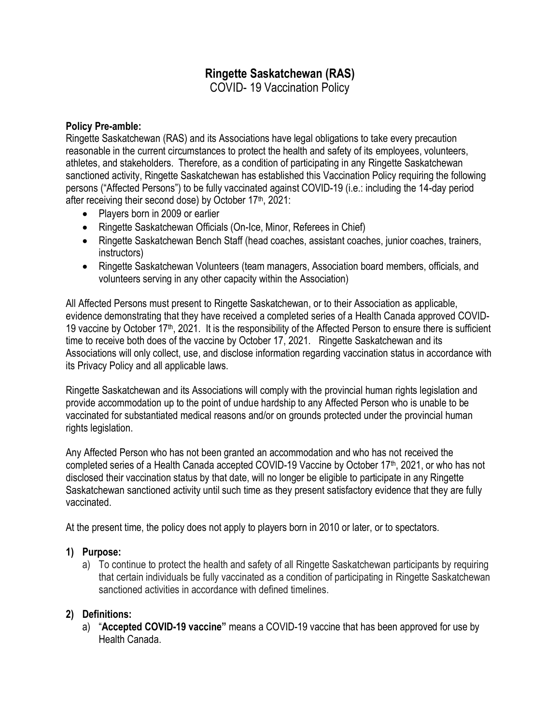# **Ringette Saskatchewan (RAS)**

COVID- 19 Vaccination Policy

#### **Policy Pre-amble:**

Ringette Saskatchewan (RAS) and its Associations have legal obligations to take every precaution reasonable in the current circumstances to protect the health and safety of its employees, volunteers, athletes, and stakeholders. Therefore, as a condition of participating in any Ringette Saskatchewan sanctioned activity, Ringette Saskatchewan has established this Vaccination Policy requiring the following persons ("Affected Persons") to be fully vaccinated against COVID-19 (i.e.: including the 14-day period after receiving their second dose) by October 17<sup>th</sup>, 2021:

- Players born in 2009 or earlier
- Ringette Saskatchewan Officials (On-Ice, Minor, Referees in Chief)
- Ringette Saskatchewan Bench Staff (head coaches, assistant coaches, junior coaches, trainers, instructors)
- Ringette Saskatchewan Volunteers (team managers, Association board members, officials, and volunteers serving in any other capacity within the Association)

All Affected Persons must present to Ringette Saskatchewan, or to their Association as applicable, evidence demonstrating that they have received a completed series of a Health Canada approved COVID-19 vaccine by October 17<sup>th</sup>, 2021. It is the responsibility of the Affected Person to ensure there is sufficient time to receive both does of the vaccine by October 17, 2021. Ringette Saskatchewan and its Associations will only collect, use, and disclose information regarding vaccination status in accordance with its Privacy Policy and all applicable laws.

Ringette Saskatchewan and its Associations will comply with the provincial human rights legislation and provide accommodation up to the point of undue hardship to any Affected Person who is unable to be vaccinated for substantiated medical reasons and/or on grounds protected under the provincial human rights legislation.

Any Affected Person who has not been granted an accommodation and who has not received the completed series of a Health Canada accepted COVID-19 Vaccine by October 17<sup>th</sup>, 2021, or who has not disclosed their vaccination status by that date, will no longer be eligible to participate in any Ringette Saskatchewan sanctioned activity until such time as they present satisfactory evidence that they are fully vaccinated.

At the present time, the policy does not apply to players born in 2010 or later, or to spectators.

#### **1) Purpose:**

a) To continue to protect the health and safety of all Ringette Saskatchewan participants by requiring that certain individuals be fully vaccinated as a condition of participating in Ringette Saskatchewan sanctioned activities in accordance with defined timelines.

#### **2) Definitions:**

a) "**Accepted COVID-19 vaccine"** means a COVID-19 vaccine that has been approved for use by Health Canada.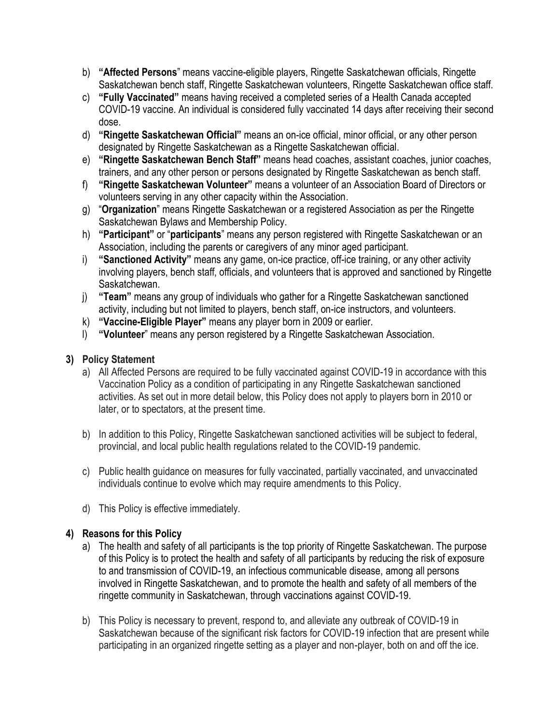- b) **"Affected Persons**" means vaccine-eligible players, Ringette Saskatchewan officials, Ringette Saskatchewan bench staff, Ringette Saskatchewan volunteers, Ringette Saskatchewan office staff.
- c) **"Fully Vaccinated"** means having received a completed series of a Health Canada accepted COVID-19 vaccine. An individual is considered fully vaccinated 14 days after receiving their second dose.
- d) **"Ringette Saskatchewan Official"** means an on-ice official, minor official, or any other person designated by Ringette Saskatchewan as a Ringette Saskatchewan official.
- e) **"Ringette Saskatchewan Bench Staff"** means head coaches, assistant coaches, junior coaches, trainers, and any other person or persons designated by Ringette Saskatchewan as bench staff.
- f) **"Ringette Saskatchewan Volunteer"** means a volunteer of an Association Board of Directors or volunteers serving in any other capacity within the Association.
- g) "**Organization**" means Ringette Saskatchewan or a registered Association as per the Ringette Saskatchewan Bylaws and Membership Policy.
- h) **"Participant"** or "**participants**" means any person registered with Ringette Saskatchewan or an Association, including the parents or caregivers of any minor aged participant.
- i) **"Sanctioned Activity"** means any game, on-ice practice, off-ice training, or any other activity involving players, bench staff, officials, and volunteers that is approved and sanctioned by Ringette Saskatchewan.
- j) **"Team"** means any group of individuals who gather for a Ringette Saskatchewan sanctioned activity, including but not limited to players, bench staff, on-ice instructors, and volunteers.
- k) **"Vaccine-Eligible Player"** means any player born in 2009 or earlier.
- l) **"Volunteer**" means any person registered by a Ringette Saskatchewan Association.

### **3) Policy Statement**

- a) All Affected Persons are required to be fully vaccinated against COVID-19 in accordance with this Vaccination Policy as a condition of participating in any Ringette Saskatchewan sanctioned activities. As set out in more detail below, this Policy does not apply to players born in 2010 or later, or to spectators, at the present time.
- b) In addition to this Policy, Ringette Saskatchewan sanctioned activities will be subject to federal, provincial, and local public health regulations related to the COVID-19 pandemic.
- c) Public health guidance on measures for fully vaccinated, partially vaccinated, and unvaccinated individuals continue to evolve which may require amendments to this Policy.
- d) This Policy is effective immediately.

# **4) Reasons for this Policy**

- a) The health and safety of all participants is the top priority of Ringette Saskatchewan. The purpose of this Policy is to protect the health and safety of all participants by reducing the risk of exposure to and transmission of COVID-19, an infectious communicable disease, among all persons involved in Ringette Saskatchewan, and to promote the health and safety of all members of the ringette community in Saskatchewan, through vaccinations against COVID-19.
- b) This Policy is necessary to prevent, respond to, and alleviate any outbreak of COVID-19 in Saskatchewan because of the significant risk factors for COVID-19 infection that are present while participating in an organized ringette setting as a player and non-player, both on and off the ice.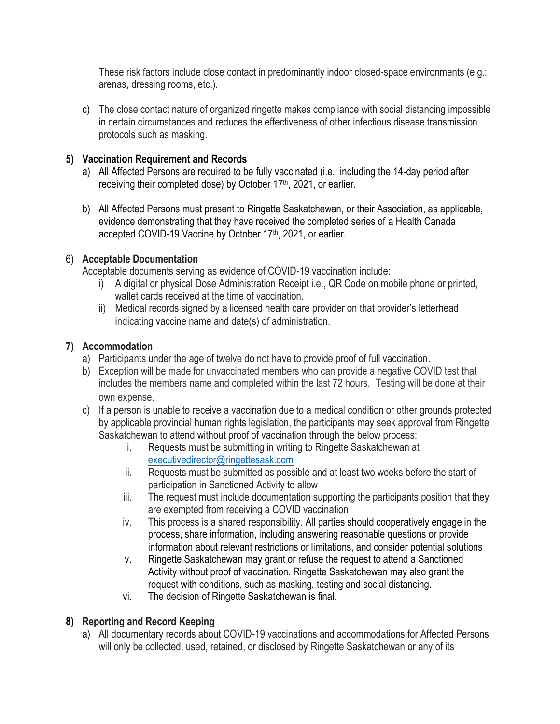These risk factors include close contact in predominantly indoor closed-space environments (e.g.: arenas, dressing rooms, etc.).

c) The close contact nature of organized ringette makes compliance with social distancing impossible in certain circumstances and reduces the effectiveness of other infectious disease transmission protocols such as masking.

### **5) Vaccination Requirement and Records**

- a) All Affected Persons are required to be fully vaccinated (i.e.: including the 14-day period after receiving their completed dose) by October 17<sup>th</sup>, 2021, or earlier.
- b) All Affected Persons must present to Ringette Saskatchewan, or their Association, as applicable, evidence demonstrating that they have received the completed series of a Health Canada accepted COVID-19 Vaccine by October 17<sup>th</sup>, 2021, or earlier.

# 6) **Acceptable Documentation**

Acceptable documents serving as evidence of COVID-19 vaccination include:

- i) A digital or physical Dose Administration Receipt i.e., QR Code on mobile phone or printed, wallet cards received at the time of vaccination.
- ii) Medical records signed by a licensed health care provider on that provider's letterhead indicating vaccine name and date(s) of administration.

# **7) Accommodation**

- a) Participants under the age of twelve do not have to provide proof of full vaccination.
- b) Exception will be made for unvaccinated members who can provide a negative COVID test that includes the members name and completed within the last 72 hours. Testing will be done at their own expense.
- c) If a person is unable to receive a vaccination due to a medical condition or other grounds protected by applicable provincial human rights legislation, the participants may seek approval from Ringette Saskatchewan to attend without proof of vaccination through the below process:
	- i. Requests must be submitting in writing to Ringette Saskatchewan at [executivedirector@ringettesask.com](mailto:executivedirector@ringettesask.com)
	- ii. Requests must be submitted as possible and at least two weeks before the start of participation in Sanctioned Activity to allow
	- iii. The request must include documentation supporting the participants position that they are exempted from receiving a COVID vaccination
	- iv. This process is a shared responsibility. All parties should cooperatively engage in the process, share information, including answering reasonable questions or provide information about relevant restrictions or limitations, and consider potential solutions
	- v. Ringette Saskatchewan may grant or refuse the request to attend a Sanctioned Activity without proof of vaccination. Ringette Saskatchewan may also grant the request with conditions, such as masking, testing and social distancing.
	- vi. The decision of Ringette Saskatchewan is final.

# **8) Reporting and Record Keeping**

a) All documentary records about COVID-19 vaccinations and accommodations for Affected Persons will only be collected, used, retained, or disclosed by Ringette Saskatchewan or any of its